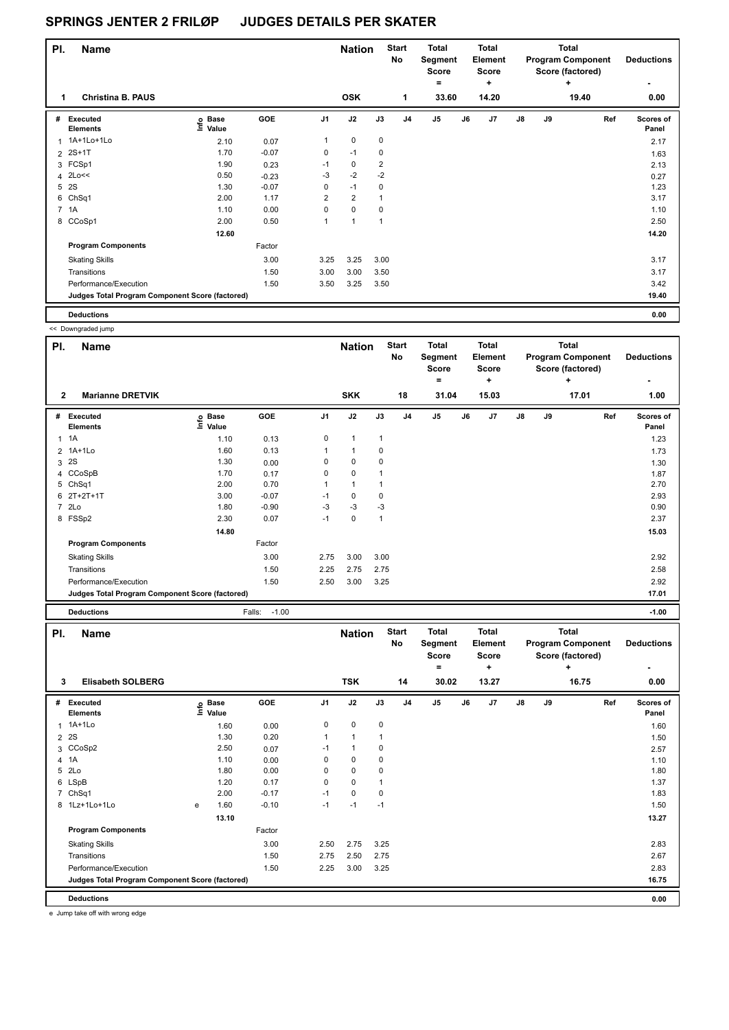| PI. | <b>Name</b>                                     |                   |         |                | <b>Nation</b>  |                         | <b>Start</b><br>No | <b>Total</b><br>Segment<br><b>Score</b><br>۰ |    | <b>Total</b><br><b>Element</b><br><b>Score</b><br>٠ |               |    | <b>Total</b><br><b>Program Component</b><br>Score (factored)<br>٠ | <b>Deductions</b>  |
|-----|-------------------------------------------------|-------------------|---------|----------------|----------------|-------------------------|--------------------|----------------------------------------------|----|-----------------------------------------------------|---------------|----|-------------------------------------------------------------------|--------------------|
| 1   | <b>Christina B. PAUS</b>                        |                   |         |                | <b>OSK</b>     |                         | $\mathbf{1}$       | 33.60                                        |    | 14.20                                               |               |    | 19.40                                                             | 0.00               |
| #   | Executed<br><b>Elements</b>                     | e Base<br>E Value | GOE     | J <sub>1</sub> | J2             | J3                      | J <sub>4</sub>     | $\mathsf{J}5$                                | J6 | J7                                                  | $\mathsf{J}8$ | J9 | Ref                                                               | Scores of<br>Panel |
| 1   | 1A+1Lo+1Lo                                      | 2.10              | 0.07    | 1              | 0              | 0                       |                    |                                              |    |                                                     |               |    |                                                                   | 2.17               |
|     | 2 2S+1T                                         | 1.70              | $-0.07$ | 0              | $-1$           | 0                       |                    |                                              |    |                                                     |               |    |                                                                   | 1.63               |
|     | 3 FCSp1                                         | 1.90              | 0.23    | $-1$           | 0              | $\overline{\mathbf{c}}$ |                    |                                              |    |                                                     |               |    |                                                                   | 2.13               |
|     | 4 2Lo<<                                         | 0.50              | $-0.23$ | -3             | $-2$           | $-2$                    |                    |                                              |    |                                                     |               |    |                                                                   | 0.27               |
| 5   | 2S                                              | 1.30              | $-0.07$ | 0              | $-1$           | 0                       |                    |                                              |    |                                                     |               |    |                                                                   | 1.23               |
|     | 6 ChSq1                                         | 2.00              | 1.17    | $\overline{2}$ | $\overline{2}$ | 1                       |                    |                                              |    |                                                     |               |    |                                                                   | 3.17               |
|     | 7 1A                                            | 1.10              | 0.00    | $\mathbf 0$    | $\mathbf 0$    | 0                       |                    |                                              |    |                                                     |               |    |                                                                   | 1.10               |
|     | 8 CCoSp1                                        | 2.00              | 0.50    | $\overline{1}$ | $\overline{1}$ | 1                       |                    |                                              |    |                                                     |               |    |                                                                   | 2.50               |
|     |                                                 | 12.60             |         |                |                |                         |                    |                                              |    |                                                     |               |    |                                                                   | 14.20              |
|     | <b>Program Components</b>                       |                   | Factor  |                |                |                         |                    |                                              |    |                                                     |               |    |                                                                   |                    |
|     | <b>Skating Skills</b>                           |                   | 3.00    | 3.25           | 3.25           | 3.00                    |                    |                                              |    |                                                     |               |    |                                                                   | 3.17               |
|     | Transitions                                     |                   | 1.50    | 3.00           | 3.00           | 3.50                    |                    |                                              |    |                                                     |               |    |                                                                   | 3.17               |
|     | Performance/Execution                           |                   | 1.50    | 3.50           | 3.25           | 3.50                    |                    |                                              |    |                                                     |               |    |                                                                   | 3.42               |
|     | Judges Total Program Component Score (factored) |                   |         |                |                |                         |                    |                                              |    |                                                     |               |    |                                                                   | 19.40              |
|     | <b>Deductions</b>                               |                   |         |                |                |                         |                    |                                              |    |                                                     |               |    |                                                                   | 0.00               |

|                | << Downgraded jump                              |                   |                   |                |               |              |                           |                                                |    |                                              |    |    |                                                                   |     |                    |
|----------------|-------------------------------------------------|-------------------|-------------------|----------------|---------------|--------------|---------------------------|------------------------------------------------|----|----------------------------------------------|----|----|-------------------------------------------------------------------|-----|--------------------|
| PI.            | <b>Name</b>                                     |                   |                   |                | <b>Nation</b> |              | <b>Start</b><br><b>No</b> | <b>Total</b><br>Segment<br><b>Score</b><br>$=$ |    | <b>Total</b><br><b>Element</b><br>Score      |    |    | <b>Total</b><br><b>Program Component</b><br>Score (factored)<br>+ |     | <b>Deductions</b>  |
| $\mathbf{2}$   | <b>Marianne DRETVIK</b>                         |                   |                   |                | <b>SKK</b>    |              | 18                        | 31.04                                          |    | ٠<br>15.03                                   |    |    | 17.01                                                             |     | 1.00               |
|                | # Executed<br><b>Elements</b>                   | e Base<br>E Value | GOE               | J <sub>1</sub> | J2            | J3           | J <sub>4</sub>            | J5                                             | J6 | J7                                           | J8 | J9 |                                                                   | Ref | Scores of<br>Panel |
|                | $1 \t1A$                                        | 1.10              | 0.13              | 0              | $\mathbf{1}$  | $\mathbf{1}$ |                           |                                                |    |                                              |    |    |                                                                   |     | 1.23               |
| 2              | 1A+1Lo                                          | 1.60              | 0.13              | 1              | $\mathbf{1}$  | 0            |                           |                                                |    |                                              |    |    |                                                                   |     | 1.73               |
| 3              | 2S                                              | 1.30              | 0.00              | 0              | 0             | 0            |                           |                                                |    |                                              |    |    |                                                                   |     | 1.30               |
| 4              | CCoSpB                                          | 1.70              | 0.17              | 0              | 0             | 1            |                           |                                                |    |                                              |    |    |                                                                   |     | 1.87               |
|                | 5 ChSq1                                         | 2.00              | 0.70              | $\mathbf{1}$   | $\mathbf{1}$  | 1            |                           |                                                |    |                                              |    |    |                                                                   |     | 2.70               |
| 6              | $2T+2T+1T$                                      | 3.00              | $-0.07$           | $-1$           | 0             | $\mathbf 0$  |                           |                                                |    |                                              |    |    |                                                                   |     | 2.93               |
|                | 7 2Lo                                           | 1.80              | $-0.90$           | $-3$           | $-3$          | $-3$         |                           |                                                |    |                                              |    |    |                                                                   |     | 0.90               |
|                | 8 FSSp2                                         | 2.30              | 0.07              | $-1$           | $\mathbf 0$   | $\mathbf{1}$ |                           |                                                |    |                                              |    |    |                                                                   |     | 2.37               |
|                |                                                 | 14.80             |                   |                |               |              |                           |                                                |    |                                              |    |    |                                                                   |     | 15.03              |
|                | <b>Program Components</b>                       |                   | Factor            |                |               |              |                           |                                                |    |                                              |    |    |                                                                   |     |                    |
|                | <b>Skating Skills</b>                           |                   | 3.00              | 2.75           | 3.00          | 3.00         |                           |                                                |    |                                              |    |    |                                                                   |     | 2.92               |
|                | Transitions                                     |                   | 1.50              | 2.25           | 2.75          | 2.75         |                           |                                                |    |                                              |    |    |                                                                   |     | 2.58               |
|                | Performance/Execution                           |                   | 1.50              | 2.50           | 3.00          | 3.25         |                           |                                                |    |                                              |    |    |                                                                   |     | 2.92               |
|                | Judges Total Program Component Score (factored) |                   |                   |                |               |              |                           |                                                |    |                                              |    |    |                                                                   |     |                    |
|                |                                                 |                   |                   |                |               |              |                           |                                                |    |                                              |    |    |                                                                   |     | 17.01              |
|                | <b>Deductions</b>                               |                   | $-1.00$<br>Falls: |                |               |              |                           |                                                |    |                                              |    |    |                                                                   |     | $-1.00$            |
| PI.            | <b>Name</b>                                     |                   |                   |                | <b>Nation</b> |              | <b>Start</b><br>No        | <b>Total</b><br>Segment<br><b>Score</b><br>$=$ |    | <b>Total</b><br>Element<br><b>Score</b><br>÷ |    |    | <b>Total</b><br><b>Program Component</b><br>Score (factored)<br>+ |     | <b>Deductions</b>  |
| 3              | <b>Elisabeth SOLBERG</b>                        |                   |                   |                | <b>TSK</b>    |              | 14                        | 30.02                                          |    | 13.27                                        |    |    | 16.75                                                             |     | 0.00               |
|                |                                                 |                   |                   |                |               |              |                           |                                                |    |                                              |    |    |                                                                   |     |                    |
|                | # Executed<br><b>Elements</b>                   | e Base<br>⊑ Value | GOE               | J <sub>1</sub> | J2            | J3           | J <sub>4</sub>            | $\mathsf{J}5$                                  | J6 | J7                                           | J8 | J9 |                                                                   | Ref | Scores of<br>Panel |
| 1              | $1A+1Lo$                                        | 1.60              | 0.00              | 0              | 0             | 0            |                           |                                                |    |                                              |    |    |                                                                   |     | 1.60               |
| $\overline{2}$ | 2S                                              | 1.30              | 0.20              | $\mathbf{1}$   | $\mathbf{1}$  | 1            |                           |                                                |    |                                              |    |    |                                                                   |     | 1.50               |
|                | 3 CCoSp2                                        | 2.50              | 0.07              | $-1$           | $\mathbf{1}$  | 0            |                           |                                                |    |                                              |    |    |                                                                   |     | 2.57               |
| 4              | 1A                                              | 1.10              | 0.00              | 0              | 0             | 0            |                           |                                                |    |                                              |    |    |                                                                   |     | 1.10               |
|                | 5 2Lo                                           | 1.80              | 0.00              | 0              | 0             | 0            |                           |                                                |    |                                              |    |    |                                                                   |     | 1.80               |
| 6              | LSpB                                            | 1.20              | 0.17              | 0              | 0             | 1            |                           |                                                |    |                                              |    |    |                                                                   |     | 1.37               |
|                | 7 ChSq1                                         | 2.00              | $-0.17$           | $-1$           | $\mathbf 0$   | 0            |                           |                                                |    |                                              |    |    |                                                                   |     | 1.83               |
|                | 8 1Lz+1Lo+1Lo                                   | 1.60<br>e         | $-0.10$           | $-1$           | $-1$          | $-1$         |                           |                                                |    |                                              |    |    |                                                                   |     | 1.50               |

Skating Skills 2.50 2.75 3.25 3.00 2.83

Transitions 2.67 2.67 2.75 2.75 2.75 2.75 2.75 2.75 2.67 2.75 2.67 2.75 2.67 2.75 2.67 2.75 2.67 2.75 2.67 2.75 Performance/Execution 2.83 2.83 2.25 3.00 3.25 2.83

**Judges Total Program Component Score (factored) 16.75**

Factor

 **13.10 13.27** 

**Deductions 0.00** e Jump take off with wrong edge

**Program Components**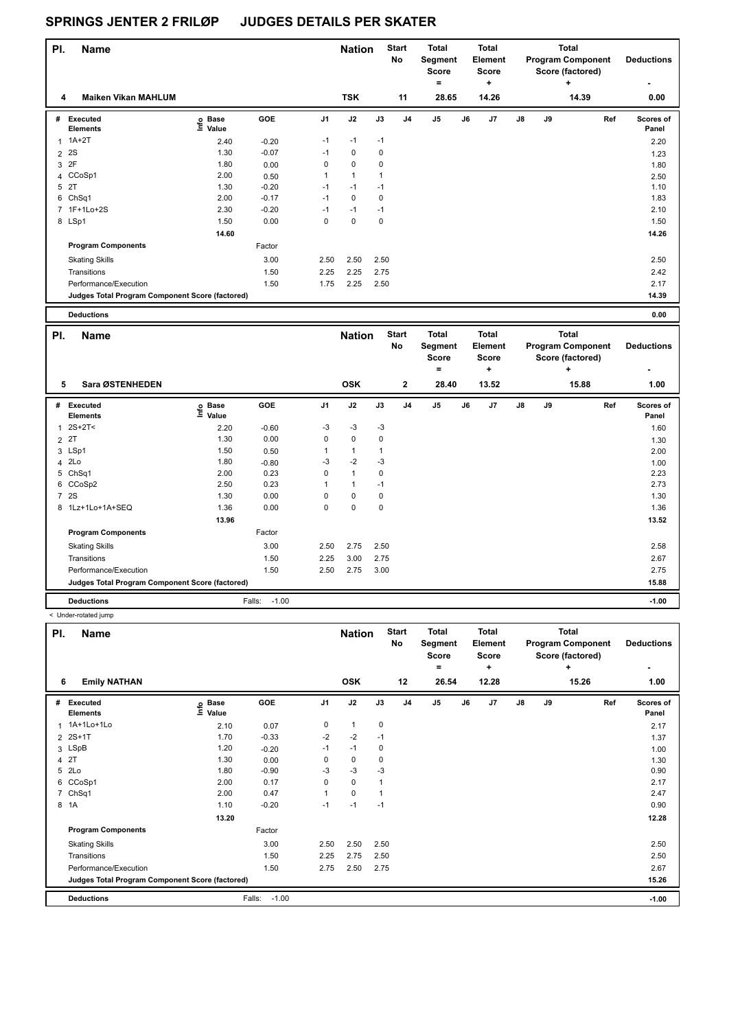| PI.            | <b>Name</b>                                     |                   |         |                | <b>Nation</b> |             | <b>Start</b><br>No | <b>Total</b><br>Segment<br><b>Score</b><br>$\equiv$ |    | <b>Total</b><br>Element<br><b>Score</b><br>٠ |               |    | <b>Total</b><br><b>Program Component</b><br>Score (factored)<br>÷ | <b>Deductions</b><br>٠    |
|----------------|-------------------------------------------------|-------------------|---------|----------------|---------------|-------------|--------------------|-----------------------------------------------------|----|----------------------------------------------|---------------|----|-------------------------------------------------------------------|---------------------------|
| 4              | <b>Maiken Vikan MAHLUM</b>                      |                   |         |                | <b>TSK</b>    |             | 11                 | 28.65                                               |    | 14.26                                        |               |    | 14.39                                                             | 0.00                      |
| #              | Executed<br><b>Elements</b>                     | e Base<br>E Value | GOE     | J <sub>1</sub> | J2            | J3          | J4                 | J5                                                  | J6 | J7                                           | $\mathsf{J}8$ | J9 |                                                                   | Ref<br>Scores of<br>Panel |
|                | $1A+2T$                                         | 2.40              | $-0.20$ | $-1$           | $-1$          | $-1$        |                    |                                                     |    |                                              |               |    |                                                                   | 2.20                      |
| $\overline{2}$ | <b>2S</b>                                       | 1.30              | $-0.07$ | $-1$           | 0             | 0           |                    |                                                     |    |                                              |               |    |                                                                   | 1.23                      |
| 3              | 2F                                              | 1.80              | 0.00    | 0              | $\mathbf 0$   | 0           |                    |                                                     |    |                                              |               |    |                                                                   | 1.80                      |
|                | 4 CCoSp1                                        | 2.00              | 0.50    |                | $\mathbf{1}$  |             |                    |                                                     |    |                                              |               |    |                                                                   | 2.50                      |
| 5              | 2T                                              | 1.30              | $-0.20$ | -1             | $-1$          | $-1$        |                    |                                                     |    |                                              |               |    |                                                                   | 1.10                      |
|                | 6 ChSq1                                         | 2.00              | $-0.17$ | $-1$           | $\mathbf 0$   | 0           |                    |                                                     |    |                                              |               |    |                                                                   | 1.83                      |
|                | 7 1F+1Lo+2S                                     | 2.30              | $-0.20$ | -1             | $-1$          | $-1$        |                    |                                                     |    |                                              |               |    |                                                                   | 2.10                      |
|                | 8 LSp1                                          | 1.50              | 0.00    | 0              | $\mathbf 0$   | $\mathbf 0$ |                    |                                                     |    |                                              |               |    |                                                                   | 1.50                      |
|                |                                                 | 14.60             |         |                |               |             |                    |                                                     |    |                                              |               |    |                                                                   | 14.26                     |
|                | <b>Program Components</b>                       |                   | Factor  |                |               |             |                    |                                                     |    |                                              |               |    |                                                                   |                           |
|                | <b>Skating Skills</b>                           |                   | 3.00    | 2.50           | 2.50          | 2.50        |                    |                                                     |    |                                              |               |    |                                                                   | 2.50                      |
|                | Transitions                                     |                   | 1.50    | 2.25           | 2.25          | 2.75        |                    |                                                     |    |                                              |               |    |                                                                   | 2.42                      |
|                | Performance/Execution                           |                   | 1.50    | 1.75           | 2.25          | 2.50        |                    |                                                     |    |                                              |               |    |                                                                   | 2.17                      |
|                | Judges Total Program Component Score (factored) |                   |         |                |               |             |                    |                                                     |    |                                              |               |    |                                                                   | 14.39                     |

| 0.00 |
|------|
|      |

| PI. | <b>Name</b>                                     |                            |                   |          | <b>Nation</b> |      | <b>Start</b><br>No | <b>Total</b><br>Segment<br><b>Score</b><br>۰ |    | <b>Total</b><br>Element<br><b>Score</b><br>÷ |               |    | <b>Total</b><br><b>Program Component</b><br>Score (factored)<br>÷ | <b>Deductions</b>         |
|-----|-------------------------------------------------|----------------------------|-------------------|----------|---------------|------|--------------------|----------------------------------------------|----|----------------------------------------------|---------------|----|-------------------------------------------------------------------|---------------------------|
| 5   | Sara ØSTENHEDEN                                 |                            |                   |          | <b>OSK</b>    |      | $\mathbf{2}$       | 28.40                                        |    | 13.52                                        |               |    | 15.88                                                             | 1.00                      |
| #   | Executed<br><b>Elements</b>                     | e Base<br>E Value<br>Value | GOE               | J1       | J2            | J3   | J <sub>4</sub>     | J <sub>5</sub>                               | J6 | J7                                           | $\mathsf{J}8$ | J9 | Ref                                                               | <b>Scores of</b><br>Panel |
| 1   | $2S+2T<$                                        | 2.20                       | $-0.60$           | $-3$     | $-3$          | $-3$ |                    |                                              |    |                                              |               |    |                                                                   | 1.60                      |
|     | 2 2T                                            | 1.30                       | 0.00              | 0        | 0             | 0    |                    |                                              |    |                                              |               |    |                                                                   | 1.30                      |
|     | 3 LSp1                                          | 1.50                       | 0.50              |          | 1             |      |                    |                                              |    |                                              |               |    |                                                                   | 2.00                      |
|     | 4 2Lo                                           | 1.80                       | $-0.80$           | $-3$     | $-2$          | $-3$ |                    |                                              |    |                                              |               |    |                                                                   | 1.00                      |
|     | 5 ChSq1                                         | 2.00                       | 0.23              | 0        | $\mathbf{1}$  | 0    |                    |                                              |    |                                              |               |    |                                                                   | 2.23                      |
|     | 6 CCoSp2                                        | 2.50                       | 0.23              |          | 1             | $-1$ |                    |                                              |    |                                              |               |    |                                                                   | 2.73                      |
|     | 7 2S                                            | 1.30                       | 0.00              | $\Omega$ | $\Omega$      | 0    |                    |                                              |    |                                              |               |    |                                                                   | 1.30                      |
|     | 8 1Lz+1Lo+1A+SEQ                                | 1.36                       | 0.00              | $\Omega$ | 0             | 0    |                    |                                              |    |                                              |               |    |                                                                   | 1.36                      |
|     |                                                 | 13.96                      |                   |          |               |      |                    |                                              |    |                                              |               |    |                                                                   | 13.52                     |
|     | <b>Program Components</b>                       |                            | Factor            |          |               |      |                    |                                              |    |                                              |               |    |                                                                   |                           |
|     | <b>Skating Skills</b>                           |                            | 3.00              | 2.50     | 2.75          | 2.50 |                    |                                              |    |                                              |               |    |                                                                   | 2.58                      |
|     | Transitions                                     |                            | 1.50              | 2.25     | 3.00          | 2.75 |                    |                                              |    |                                              |               |    |                                                                   | 2.67                      |
|     | Performance/Execution                           |                            | 1.50              | 2.50     | 2.75          | 3.00 |                    |                                              |    |                                              |               |    |                                                                   | 2.75                      |
|     | Judges Total Program Component Score (factored) |                            |                   |          |               |      |                    |                                              |    |                                              |               |    |                                                                   | 15.88                     |
|     | <b>Deductions</b>                               |                            | $-1.00$<br>Falls: |          |               |      |                    |                                              |    |                                              |               |    |                                                                   | $-1.00$                   |

< Under-rotated jump

| PI. | <b>Name</b>                                     |                            |                   |                | <b>Nation</b> |             | <b>Start</b><br>No | <b>Total</b><br>Segment<br><b>Score</b><br>$=$ |    | <b>Total</b><br>Element<br><b>Score</b><br>÷ |    |    | Total<br><b>Program Component</b><br>Score (factored)<br>٠ | <b>Deductions</b>  |
|-----|-------------------------------------------------|----------------------------|-------------------|----------------|---------------|-------------|--------------------|------------------------------------------------|----|----------------------------------------------|----|----|------------------------------------------------------------|--------------------|
| 6   | <b>Emily NATHAN</b>                             |                            |                   |                | <b>OSK</b>    |             | 12                 | 26.54                                          |    | 12.28                                        |    |    | 15.26                                                      | ٠<br>1.00          |
| #   | Executed<br><b>Elements</b>                     | e Base<br>E Value<br>Value | GOE               | J <sub>1</sub> | J2            | J3          | J <sub>4</sub>     | J <sub>5</sub>                                 | J6 | J <sub>7</sub>                               | J8 | J9 | Ref                                                        | Scores of<br>Panel |
|     | 1 1A+1Lo+1Lo                                    | 2.10                       | 0.07              | 0              | 1             | $\mathbf 0$ |                    |                                                |    |                                              |    |    |                                                            | 2.17               |
|     | 2 2S+1T                                         | 1.70                       | $-0.33$           | $-2$           | $-2$          | $-1$        |                    |                                                |    |                                              |    |    |                                                            | 1.37               |
|     | 3 LSpB                                          | 1.20                       | $-0.20$           | $-1$           | $-1$          | 0           |                    |                                                |    |                                              |    |    |                                                            | 1.00               |
|     | 4 2T                                            | 1.30                       | 0.00              | 0              | 0             | 0           |                    |                                                |    |                                              |    |    |                                                            | 1.30               |
|     | 5 2Lo                                           | 1.80                       | $-0.90$           | $-3$           | $-3$          | $-3$        |                    |                                                |    |                                              |    |    |                                                            | 0.90               |
|     | 6 CCoSp1                                        | 2.00                       | 0.17              | 0              | 0             | 1           |                    |                                                |    |                                              |    |    |                                                            | 2.17               |
|     | 7 ChSq1                                         | 2.00                       | 0.47              | $\overline{1}$ | 0             | 1           |                    |                                                |    |                                              |    |    |                                                            | 2.47               |
|     | 8 1A                                            | 1.10                       | $-0.20$           | $-1$           | $-1$          | $-1$        |                    |                                                |    |                                              |    |    |                                                            | 0.90               |
|     |                                                 | 13.20                      |                   |                |               |             |                    |                                                |    |                                              |    |    |                                                            | 12.28              |
|     | <b>Program Components</b>                       |                            | Factor            |                |               |             |                    |                                                |    |                                              |    |    |                                                            |                    |
|     | <b>Skating Skills</b>                           |                            | 3.00              | 2.50           | 2.50          | 2.50        |                    |                                                |    |                                              |    |    |                                                            | 2.50               |
|     | Transitions                                     |                            | 1.50              | 2.25           | 2.75          | 2.50        |                    |                                                |    |                                              |    |    |                                                            | 2.50               |
|     | Performance/Execution                           |                            | 1.50              | 2.75           | 2.50          | 2.75        |                    |                                                |    |                                              |    |    |                                                            | 2.67               |
|     | Judges Total Program Component Score (factored) |                            |                   |                |               |             |                    |                                                |    |                                              |    |    |                                                            | 15.26              |
|     | <b>Deductions</b>                               |                            | $-1.00$<br>Falls: |                |               |             |                    |                                                |    |                                              |    |    |                                                            | $-1.00$            |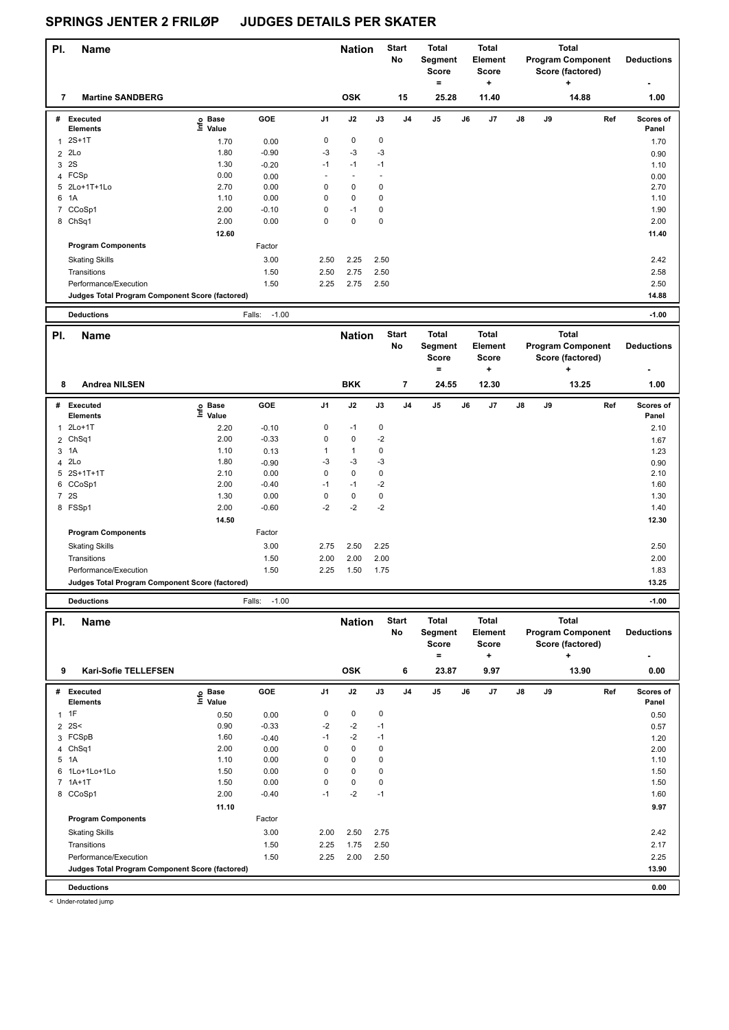| PI. | <b>Name</b>                                     |                              |                   |                          | <b>Nation</b> |      | <b>Start</b><br>No | Total<br>Segment<br>Score<br>$\equiv$ |    | <b>Total</b><br>Element<br>Score<br>÷ |               |           | <b>Total</b><br><b>Program Component</b><br>Score (factored)<br>٠ | <b>Deductions</b>         |
|-----|-------------------------------------------------|------------------------------|-------------------|--------------------------|---------------|------|--------------------|---------------------------------------|----|---------------------------------------|---------------|-----------|-------------------------------------------------------------------|---------------------------|
| 7   | <b>Martine SANDBERG</b>                         |                              |                   |                          | <b>OSK</b>    |      | 15                 | 25.28                                 |    | 11.40                                 |               |           | 14.88                                                             | 1.00                      |
| #   | Executed<br><b>Elements</b>                     | <b>Base</b><br>١nf٥<br>Value | GOE               | J <sub>1</sub>           | J2            | J3   | J <sub>4</sub>     | J <sub>5</sub>                        | J6 | J <sub>7</sub>                        | $\mathsf{J}8$ | <b>J9</b> | Ref                                                               | <b>Scores of</b><br>Panel |
|     | $2S+1T$                                         | 1.70                         | 0.00              | 0                        | $\mathbf 0$   | 0    |                    |                                       |    |                                       |               |           |                                                                   | 1.70                      |
| 2   | 2Lo                                             | 1.80                         | $-0.90$           | $-3$                     | $-3$          | $-3$ |                    |                                       |    |                                       |               |           |                                                                   | 0.90                      |
| 3   | 2S                                              | 1.30                         | $-0.20$           | $-1$                     | $-1$          | $-1$ |                    |                                       |    |                                       |               |           |                                                                   | 1.10                      |
|     | 4 FCSp                                          | 0.00                         | 0.00              | $\overline{\phantom{a}}$ | $\sim$        |      |                    |                                       |    |                                       |               |           |                                                                   | 0.00                      |
|     | 5 2Lo+1T+1Lo                                    | 2.70                         | 0.00              | 0                        | 0             | 0    |                    |                                       |    |                                       |               |           |                                                                   | 2.70                      |
| 6   | 1A                                              | 1.10                         | 0.00              | 0                        | $\mathbf 0$   | 0    |                    |                                       |    |                                       |               |           |                                                                   | 1.10                      |
|     | 7 CCoSp1                                        | 2.00                         | $-0.10$           | 0                        | $-1$          | 0    |                    |                                       |    |                                       |               |           |                                                                   | 1.90                      |
|     | 8 ChSq1                                         | 2.00                         | 0.00              | $\mathbf 0$              | $\mathbf 0$   | 0    |                    |                                       |    |                                       |               |           |                                                                   | 2.00                      |
|     |                                                 | 12.60                        |                   |                          |               |      |                    |                                       |    |                                       |               |           |                                                                   | 11.40                     |
|     | <b>Program Components</b>                       |                              | Factor            |                          |               |      |                    |                                       |    |                                       |               |           |                                                                   |                           |
|     | <b>Skating Skills</b>                           |                              | 3.00              | 2.50                     | 2.25          | 2.50 |                    |                                       |    |                                       |               |           |                                                                   | 2.42                      |
|     | Transitions                                     |                              | 1.50              | 2.50                     | 2.75          | 2.50 |                    |                                       |    |                                       |               |           |                                                                   | 2.58                      |
|     | Performance/Execution                           |                              | 1.50              | 2.25                     | 2.75          | 2.50 |                    |                                       |    |                                       |               |           |                                                                   | 2.50                      |
|     | Judges Total Program Component Score (factored) |                              |                   |                          |               |      |                    |                                       |    |                                       |               |           |                                                                   | 14.88                     |
|     | <b>Deductions</b>                               |                              | Falls:<br>$-1.00$ |                          |               |      |                    |                                       |    |                                       |               |           |                                                                   | $-1.00$                   |

| PI. | <b>Name</b>                                     |                            |         |                | <b>Nation</b> |      | <b>Start</b><br>No | <b>Total</b><br>Segment<br><b>Score</b><br>= |    | <b>Total</b><br>Element<br>Score<br>٠ |               |    | <b>Total</b><br><b>Program Component</b><br>Score (factored)<br>÷ | <b>Deductions</b>  |
|-----|-------------------------------------------------|----------------------------|---------|----------------|---------------|------|--------------------|----------------------------------------------|----|---------------------------------------|---------------|----|-------------------------------------------------------------------|--------------------|
| 8   | <b>Andrea NILSEN</b>                            |                            |         |                | <b>BKK</b>    |      | 7                  | 24.55                                        |    | 12.30                                 |               |    | 13.25                                                             | 1.00               |
| #   | Executed<br><b>Elements</b>                     | e Base<br>E Value<br>Value | GOE     | J <sub>1</sub> | J2            | J3   | J <sub>4</sub>     | J <sub>5</sub>                               | J6 | J7                                    | $\mathsf{J}8$ | J9 | Ref                                                               | Scores of<br>Panel |
| 1   | 2Lo+1T                                          | 2.20                       | $-0.10$ | 0              | $-1$          | 0    |                    |                                              |    |                                       |               |    |                                                                   | 2.10               |
|     | 2 ChSq1                                         | 2.00                       | $-0.33$ | 0              | $\mathbf 0$   | $-2$ |                    |                                              |    |                                       |               |    |                                                                   | 1.67               |
|     | 3 1A                                            | 1.10                       | 0.13    |                | 1             | 0    |                    |                                              |    |                                       |               |    |                                                                   | 1.23               |
|     | 4 2Lo                                           | 1.80                       | $-0.90$ | -3             | $-3$          | -3   |                    |                                              |    |                                       |               |    |                                                                   | 0.90               |
|     | 5 2S+1T+1T                                      | 2.10                       | 0.00    | 0              | $\mathbf 0$   | 0    |                    |                                              |    |                                       |               |    |                                                                   | 2.10               |
|     | 6 CCoSp1                                        | 2.00                       | $-0.40$ | $-1$           | $-1$          | $-2$ |                    |                                              |    |                                       |               |    |                                                                   | 1.60               |
|     | 7 2S                                            | 1.30                       | 0.00    | 0              | $\mathbf 0$   | 0    |                    |                                              |    |                                       |               |    |                                                                   | 1.30               |
|     | 8 FSSp1                                         | 2.00                       | $-0.60$ | $-2$           | $-2$          | $-2$ |                    |                                              |    |                                       |               |    |                                                                   | 1.40               |
|     |                                                 | 14.50                      |         |                |               |      |                    |                                              |    |                                       |               |    |                                                                   | 12.30              |
|     | <b>Program Components</b>                       |                            | Factor  |                |               |      |                    |                                              |    |                                       |               |    |                                                                   |                    |
|     | <b>Skating Skills</b>                           |                            | 3.00    | 2.75           | 2.50          | 2.25 |                    |                                              |    |                                       |               |    |                                                                   | 2.50               |
|     | Transitions                                     |                            | 1.50    | 2.00           | 2.00          | 2.00 |                    |                                              |    |                                       |               |    |                                                                   | 2.00               |
|     | Performance/Execution                           |                            | 1.50    | 2.25           | 1.50          | 1.75 |                    |                                              |    |                                       |               |    |                                                                   | 1.83               |
|     | Judges Total Program Component Score (factored) |                            |         |                |               |      |                    |                                              |    |                                       |               |    |                                                                   | 13.25              |

**Deductions** Falls: -1.00 **-1.00**

| PI.            | <b>Name</b>                                     |                            |         |                | <b>Nation</b> |             | <b>Start</b><br>No | <b>Total</b><br>Segment<br><b>Score</b><br>۰ |    | <b>Total</b><br>Element<br><b>Score</b><br>÷ |               |    | <b>Total</b><br><b>Program Component</b><br>Score (factored)<br>$\ddot{}$ | <b>Deductions</b>  |
|----------------|-------------------------------------------------|----------------------------|---------|----------------|---------------|-------------|--------------------|----------------------------------------------|----|----------------------------------------------|---------------|----|---------------------------------------------------------------------------|--------------------|
| 9              | <b>Kari-Sofie TELLEFSEN</b>                     |                            |         |                | <b>OSK</b>    |             | 6                  | 23.87                                        |    | 9.97                                         |               |    | 13.90                                                                     | 0.00               |
| #              | Executed<br><b>Elements</b>                     | e Base<br>E Value<br>Value | GOE     | J <sub>1</sub> | J2            | J3          | J <sub>4</sub>     | J5                                           | J6 | J7                                           | $\mathsf{J}8$ | J9 | Ref                                                                       | Scores of<br>Panel |
| 1              | 1F                                              | 0.50                       | 0.00    | 0              | $\mathbf 0$   | $\mathbf 0$ |                    |                                              |    |                                              |               |    |                                                                           | 0.50               |
| $\overline{2}$ | 2S<                                             | 0.90                       | $-0.33$ | $-2$           | $-2$          | $-1$        |                    |                                              |    |                                              |               |    |                                                                           | 0.57               |
| 3              | FCSpB                                           | 1.60                       | $-0.40$ | $-1$           | $-2$          | $-1$        |                    |                                              |    |                                              |               |    |                                                                           | 1.20               |
| 4              | Ch <sub>Sq1</sub>                               | 2.00                       | 0.00    | 0              | $\mathbf 0$   | 0           |                    |                                              |    |                                              |               |    |                                                                           | 2.00               |
| 5              | 1A                                              | 1.10                       | 0.00    | 0              | $\mathbf 0$   | 0           |                    |                                              |    |                                              |               |    |                                                                           | 1.10               |
| 6              | 1Lo+1Lo+1Lo                                     | 1.50                       | 0.00    | 0              | $\mathbf 0$   | 0           |                    |                                              |    |                                              |               |    |                                                                           | 1.50               |
|                | $7.1A+1T$                                       | 1.50                       | 0.00    | 0              | 0             | 0           |                    |                                              |    |                                              |               |    |                                                                           | 1.50               |
|                | 8 CCoSp1                                        | 2.00                       | $-0.40$ | $-1$           | $-2$          | $-1$        |                    |                                              |    |                                              |               |    |                                                                           | 1.60               |
|                |                                                 | 11.10                      |         |                |               |             |                    |                                              |    |                                              |               |    |                                                                           | 9.97               |
|                | <b>Program Components</b>                       |                            | Factor  |                |               |             |                    |                                              |    |                                              |               |    |                                                                           |                    |
|                | <b>Skating Skills</b>                           |                            | 3.00    | 2.00           | 2.50          | 2.75        |                    |                                              |    |                                              |               |    |                                                                           | 2.42               |
|                | Transitions                                     |                            | 1.50    | 2.25           | 1.75          | 2.50        |                    |                                              |    |                                              |               |    |                                                                           | 2.17               |
|                | Performance/Execution                           |                            | 1.50    | 2.25           | 2.00          | 2.50        |                    |                                              |    |                                              |               |    |                                                                           | 2.25               |
|                | Judges Total Program Component Score (factored) |                            |         |                |               |             |                    |                                              |    |                                              |               |    |                                                                           | 13.90              |
|                | <b>Deductions</b>                               |                            |         |                |               |             |                    |                                              |    |                                              |               |    |                                                                           | 0.00               |

< Under-rotated jump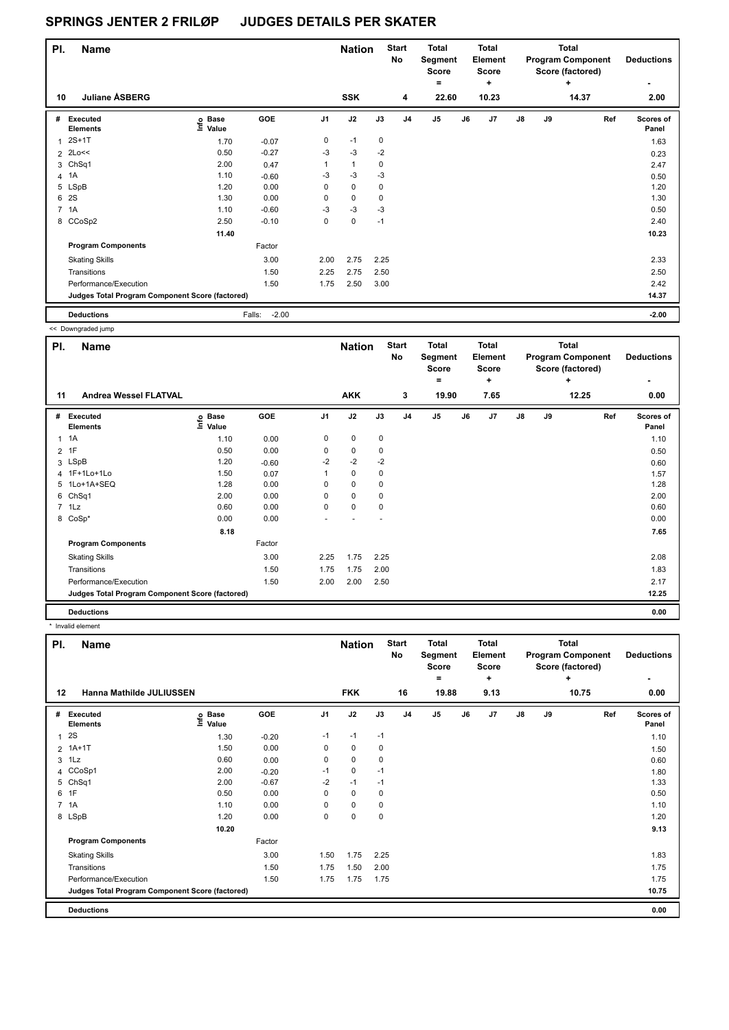| PI. | <b>Name</b>                                     |                            |                   |                | <b>Nation</b> |             | <b>Start</b><br>No | <b>Total</b><br>Segment<br><b>Score</b><br>۰ |    | <b>Total</b><br>Element<br><b>Score</b><br>٠ |    |    | <b>Total</b><br><b>Program Component</b><br>Score (factored)<br>÷ | <b>Deductions</b>  |
|-----|-------------------------------------------------|----------------------------|-------------------|----------------|---------------|-------------|--------------------|----------------------------------------------|----|----------------------------------------------|----|----|-------------------------------------------------------------------|--------------------|
| 10  | <b>Juliane ASBERG</b>                           |                            |                   |                | <b>SSK</b>    |             | 4                  | 22.60                                        |    | 10.23                                        |    |    | 14.37                                                             | 2.00               |
| #   | Executed<br><b>Elements</b>                     | e Base<br>E Value<br>Value | GOE               | J <sub>1</sub> | J2            | J3          | J <sub>4</sub>     | J <sub>5</sub>                               | J6 | J7                                           | J8 | J9 | Ref                                                               | Scores of<br>Panel |
|     | $2S+1T$                                         | 1.70                       | $-0.07$           | 0              | $-1$          | 0           |                    |                                              |    |                                              |    |    |                                                                   | 1.63               |
|     | $2$ $2$ Loss                                    | 0.50                       | $-0.27$           | $-3$           | $-3$          | $-2$        |                    |                                              |    |                                              |    |    |                                                                   | 0.23               |
|     | 3 ChSq1                                         | 2.00                       | 0.47              |                | $\mathbf{1}$  | 0           |                    |                                              |    |                                              |    |    |                                                                   | 2.47               |
|     | 4 1A                                            | 1.10                       | $-0.60$           | $-3$           | $-3$          | $-3$        |                    |                                              |    |                                              |    |    |                                                                   | 0.50               |
|     | 5 LSpB                                          | 1.20                       | 0.00              | 0              | $\mathbf 0$   | 0           |                    |                                              |    |                                              |    |    |                                                                   | 1.20               |
| 6   | <b>2S</b>                                       | 1.30                       | 0.00              | 0              | $\mathbf 0$   | $\mathbf 0$ |                    |                                              |    |                                              |    |    |                                                                   | 1.30               |
|     | 7 1A                                            | 1.10                       | $-0.60$           | $-3$           | $-3$          | $-3$        |                    |                                              |    |                                              |    |    |                                                                   | 0.50               |
|     | 8 CCoSp2                                        | 2.50                       | $-0.10$           | 0              | $\mathbf 0$   | $-1$        |                    |                                              |    |                                              |    |    |                                                                   | 2.40               |
|     |                                                 | 11.40                      |                   |                |               |             |                    |                                              |    |                                              |    |    |                                                                   | 10.23              |
|     | <b>Program Components</b>                       |                            | Factor            |                |               |             |                    |                                              |    |                                              |    |    |                                                                   |                    |
|     | <b>Skating Skills</b>                           |                            | 3.00              | 2.00           | 2.75          | 2.25        |                    |                                              |    |                                              |    |    |                                                                   | 2.33               |
|     | Transitions                                     |                            | 1.50              | 2.25           | 2.75          | 2.50        |                    |                                              |    |                                              |    |    |                                                                   | 2.50               |
|     | Performance/Execution                           |                            | 1.50              | 1.75           | 2.50          | 3.00        |                    |                                              |    |                                              |    |    |                                                                   | 2.42               |
|     | Judges Total Program Component Score (factored) |                            |                   |                |               |             |                    |                                              |    |                                              |    |    |                                                                   | 14.37              |
|     | <b>Deductions</b>                               |                            | $-2.00$<br>Falls: |                |               |             |                    |                                              |    |                                              |    |    |                                                                   | $-2.00$            |

<< Downgraded jump

| PI. | <b>Name</b>                                     |                   |         |                | <b>Nation</b> |      | <b>Start</b><br><b>No</b> | <b>Total</b><br>Segment<br>Score<br>۰ |    | <b>Total</b><br>Element<br><b>Score</b><br>÷ |               |    | <b>Total</b><br><b>Program Component</b><br>Score (factored)<br>÷ | <b>Deductions</b>  |
|-----|-------------------------------------------------|-------------------|---------|----------------|---------------|------|---------------------------|---------------------------------------|----|----------------------------------------------|---------------|----|-------------------------------------------------------------------|--------------------|
| 11  | <b>Andrea Wessel FLATVAL</b>                    |                   |         |                | <b>AKK</b>    |      | 3                         | 19.90                                 |    | 7.65                                         |               |    | 12.25                                                             | 0.00               |
| #   | Executed<br><b>Elements</b>                     | e Base<br>E Value | GOE     | J <sub>1</sub> | J2            | J3   | J <sub>4</sub>            | J5                                    | J6 | J7                                           | $\mathsf{J}8$ | J9 | Ref                                                               | Scores of<br>Panel |
| 1   | 1A                                              | 1.10              | 0.00    | 0              | $\pmb{0}$     | 0    |                           |                                       |    |                                              |               |    |                                                                   | 1.10               |
|     | $2$ 1F                                          | 0.50              | 0.00    | 0              | $\pmb{0}$     | 0    |                           |                                       |    |                                              |               |    |                                                                   | 0.50               |
|     | 3 LSpB                                          | 1.20              | $-0.60$ | $-2$           | $-2$          | $-2$ |                           |                                       |    |                                              |               |    |                                                                   | 0.60               |
|     | 4 1F+1Lo+1Lo                                    | 1.50              | 0.07    |                | $\pmb{0}$     | 0    |                           |                                       |    |                                              |               |    |                                                                   | 1.57               |
| 5   | 1Lo+1A+SEQ                                      | 1.28              | 0.00    | 0              | $\mathbf 0$   | 0    |                           |                                       |    |                                              |               |    |                                                                   | 1.28               |
| 6   | ChSq1                                           | 2.00              | 0.00    | 0              | $\mathbf 0$   | 0    |                           |                                       |    |                                              |               |    |                                                                   | 2.00               |
|     | $7$ 1 Lz                                        | 0.60              | 0.00    | 0              | $\mathbf 0$   | 0    |                           |                                       |    |                                              |               |    |                                                                   | 0.60               |
|     | 8 CoSp*                                         | 0.00              | 0.00    | ٠              |               | ٠    |                           |                                       |    |                                              |               |    |                                                                   | 0.00               |
|     |                                                 | 8.18              |         |                |               |      |                           |                                       |    |                                              |               |    |                                                                   | 7.65               |
|     | <b>Program Components</b>                       |                   | Factor  |                |               |      |                           |                                       |    |                                              |               |    |                                                                   |                    |
|     | <b>Skating Skills</b>                           |                   | 3.00    | 2.25           | 1.75          | 2.25 |                           |                                       |    |                                              |               |    |                                                                   | 2.08               |
|     | Transitions                                     |                   | 1.50    | 1.75           | 1.75          | 2.00 |                           |                                       |    |                                              |               |    |                                                                   | 1.83               |
|     | Performance/Execution                           |                   | 1.50    | 2.00           | 2.00          | 2.50 |                           |                                       |    |                                              |               |    |                                                                   | 2.17               |
|     | Judges Total Program Component Score (factored) |                   |         |                |               |      |                           |                                       |    |                                              |               |    |                                                                   | 12.25              |
|     | <b>Deductions</b>                               |                   |         |                |               |      |                           |                                       |    |                                              |               |    |                                                                   | 0.00               |

\* Invalid element

| PI.            | <b>Name</b>                                     |                            |            |                | <b>Nation</b> |      | <b>Start</b><br>No | <b>Total</b><br>Segment<br><b>Score</b><br>$=$ |    | <b>Total</b><br>Element<br><b>Score</b><br>٠ |    |    | <b>Total</b><br><b>Program Component</b><br>Score (factored)<br>٠ | <b>Deductions</b>  |
|----------------|-------------------------------------------------|----------------------------|------------|----------------|---------------|------|--------------------|------------------------------------------------|----|----------------------------------------------|----|----|-------------------------------------------------------------------|--------------------|
| $12 \,$        | Hanna Mathilde JULIUSSEN                        |                            |            |                | <b>FKK</b>    |      | 16                 | 19.88                                          |    | 9.13                                         |    |    | 10.75                                                             | 0.00               |
| #              | <b>Executed</b><br><b>Elements</b>              | e Base<br>⊆ Value<br>Value | <b>GOE</b> | J <sub>1</sub> | J2            | J3   | J <sub>4</sub>     | J <sub>5</sub>                                 | J6 | J7                                           | J8 | J9 | Ref                                                               | Scores of<br>Panel |
| 1              | 2S                                              | 1.30                       | $-0.20$    | $-1$           | $-1$          | $-1$ |                    |                                                |    |                                              |    |    |                                                                   | 1.10               |
| $\overline{2}$ | $1A+1T$                                         | 1.50                       | 0.00       | 0              | 0             | 0    |                    |                                                |    |                                              |    |    |                                                                   | 1.50               |
|                | $3$ 1 Lz                                        | 0.60                       | 0.00       | 0              | 0             | 0    |                    |                                                |    |                                              |    |    |                                                                   | 0.60               |
|                | 4 CCoSp1                                        | 2.00                       | $-0.20$    | $-1$           | 0             | $-1$ |                    |                                                |    |                                              |    |    |                                                                   | 1.80               |
| 5              | ChSq1                                           | 2.00                       | $-0.67$    | $-2$           | $-1$          | $-1$ |                    |                                                |    |                                              |    |    |                                                                   | 1.33               |
|                | 6 1F                                            | 0.50                       | 0.00       | 0              | $\mathbf 0$   | 0    |                    |                                                |    |                                              |    |    |                                                                   | 0.50               |
|                | 7 1A                                            | 1.10                       | 0.00       | $\Omega$       | $\mathbf 0$   | 0    |                    |                                                |    |                                              |    |    |                                                                   | 1.10               |
|                | 8 LSpB                                          | 1.20                       | 0.00       | 0              | 0             | 0    |                    |                                                |    |                                              |    |    |                                                                   | 1.20               |
|                |                                                 | 10.20                      |            |                |               |      |                    |                                                |    |                                              |    |    |                                                                   | 9.13               |
|                | <b>Program Components</b>                       |                            | Factor     |                |               |      |                    |                                                |    |                                              |    |    |                                                                   |                    |
|                | <b>Skating Skills</b>                           |                            | 3.00       | 1.50           | 1.75          | 2.25 |                    |                                                |    |                                              |    |    |                                                                   | 1.83               |
|                | Transitions                                     |                            | 1.50       | 1.75           | 1.50          | 2.00 |                    |                                                |    |                                              |    |    |                                                                   | 1.75               |
|                | Performance/Execution                           |                            | 1.50       | 1.75           | 1.75          | 1.75 |                    |                                                |    |                                              |    |    |                                                                   | 1.75               |
|                | Judges Total Program Component Score (factored) |                            |            |                |               |      |                    |                                                |    |                                              |    |    |                                                                   | 10.75              |
|                | <b>Deductions</b>                               |                            |            |                |               |      |                    |                                                |    |                                              |    |    |                                                                   | 0.00               |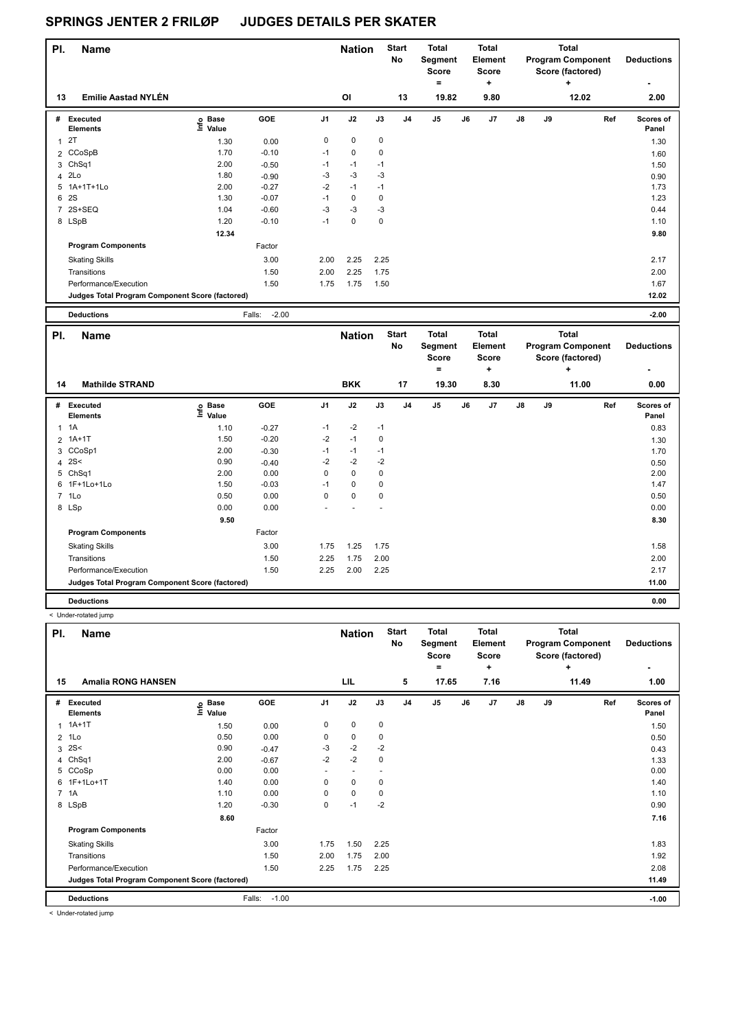| PI. | <b>Name</b>                                     |                   |         |                | <b>Nation</b> |             | Start<br>No | <b>Total</b><br>Segment<br><b>Score</b><br>$=$ |    | <b>Total</b><br>Element<br><b>Score</b><br>٠ |               |    | <b>Total</b><br><b>Program Component</b><br>Score (factored)<br>٠ | <b>Deductions</b><br>۰    |
|-----|-------------------------------------------------|-------------------|---------|----------------|---------------|-------------|-------------|------------------------------------------------|----|----------------------------------------------|---------------|----|-------------------------------------------------------------------|---------------------------|
| 13  | <b>Emilie Aastad NYLÉN</b>                      |                   |         |                | OI            |             | 13          | 19.82                                          |    | 9.80                                         |               |    | 12.02                                                             | 2.00                      |
| #   | Executed<br><b>Elements</b>                     | e Base<br>E Value | GOE     | J <sub>1</sub> | J2            | J3          | J4          | J <sub>5</sub>                                 | J6 | J7                                           | $\mathsf{J}8$ | J9 | Ref                                                               | <b>Scores of</b><br>Panel |
|     | 2T                                              | 1.30              | 0.00    | 0              | 0             | $\mathbf 0$ |             |                                                |    |                                              |               |    |                                                                   | 1.30                      |
|     | 2 CCoSpB                                        | 1.70              | $-0.10$ | $-1$           | 0             | 0           |             |                                                |    |                                              |               |    |                                                                   | 1.60                      |
|     | 3 ChSq1                                         | 2.00              | $-0.50$ | $-1$           | $-1$          | $-1$        |             |                                                |    |                                              |               |    |                                                                   | 1.50                      |
|     | 4 2Lo                                           | 1.80              | $-0.90$ | -3             | $-3$          | -3          |             |                                                |    |                                              |               |    |                                                                   | 0.90                      |
|     | 5 1A+1T+1Lo                                     | 2.00              | $-0.27$ | $-2$           | $-1$          | $-1$        |             |                                                |    |                                              |               |    |                                                                   | 1.73                      |
| 6   | <b>2S</b>                                       | 1.30              | $-0.07$ | $-1$           | $\mathbf 0$   | $\mathbf 0$ |             |                                                |    |                                              |               |    |                                                                   | 1.23                      |
|     | 7 2S+SEQ                                        | 1.04              | $-0.60$ | $-3$           | $-3$          | $-3$        |             |                                                |    |                                              |               |    |                                                                   | 0.44                      |
|     | 8 LSpB                                          | 1.20              | $-0.10$ | $-1$           | 0             | 0           |             |                                                |    |                                              |               |    |                                                                   | 1.10                      |
|     |                                                 | 12.34             |         |                |               |             |             |                                                |    |                                              |               |    |                                                                   | 9.80                      |
|     | <b>Program Components</b>                       |                   | Factor  |                |               |             |             |                                                |    |                                              |               |    |                                                                   |                           |
|     | <b>Skating Skills</b>                           |                   | 3.00    | 2.00           | 2.25          | 2.25        |             |                                                |    |                                              |               |    |                                                                   | 2.17                      |
|     | Transitions                                     |                   | 1.50    | 2.00           | 2.25          | 1.75        |             |                                                |    |                                              |               |    |                                                                   | 2.00                      |
|     | Performance/Execution                           |                   | 1.50    | 1.75           | 1.75          | 1.50        |             |                                                |    |                                              |               |    |                                                                   | 1.67                      |
|     | Judges Total Program Component Score (factored) |                   |         |                |               |             |             |                                                |    |                                              |               |    |                                                                   | 12.02                     |
|     |                                                 |                   |         |                |               |             |             |                                                |    |                                              |               |    |                                                                   |                           |

| PI. | <b>Name</b>                                     |                              |         |                |            | <b>Nation</b> |                | <b>Start</b><br>No | <b>Total</b><br>Segment<br><b>Score</b> |           | <b>Total</b><br>Element<br>Score |    | <b>Total</b><br><b>Program Component</b><br>Score (factored) | <b>Deductions</b>  |
|-----|-------------------------------------------------|------------------------------|---------|----------------|------------|---------------|----------------|--------------------|-----------------------------------------|-----------|----------------------------------|----|--------------------------------------------------------------|--------------------|
| 14  | <b>Mathilde STRAND</b>                          |                              |         |                | <b>BKK</b> |               | 17             | $=$<br>19.30       |                                         | ٠<br>8.30 |                                  |    | ÷<br>11.00                                                   | ۰<br>0.00          |
| #   | Executed<br><b>Elements</b>                     | <b>Base</b><br>١nf٥<br>Value | GOE     | J <sub>1</sub> | J2         | J3            | J <sub>4</sub> | J <sub>5</sub>     | J6                                      | J7        | J8                               | J9 | Ref                                                          | Scores of<br>Panel |
|     | $1 \t1A$                                        | 1.10                         | $-0.27$ | $-1$           | $-2$       | $-1$          |                |                    |                                         |           |                                  |    |                                                              | 0.83               |
|     | 2 1A+1T                                         | 1.50                         | $-0.20$ | $-2$           | $-1$       | $\mathbf 0$   |                |                    |                                         |           |                                  |    |                                                              | 1.30               |
|     | 3 CCoSp1                                        | 2.00                         | $-0.30$ | $-1$           | $-1$       | $-1$          |                |                    |                                         |           |                                  |    |                                                              | 1.70               |
|     | 4 $2S<$                                         | 0.90                         | $-0.40$ | $-2$           | $-2$       | $-2$          |                |                    |                                         |           |                                  |    |                                                              | 0.50               |
|     | 5 ChSq1                                         | 2.00                         | 0.00    | $\Omega$       | 0          | $\mathbf 0$   |                |                    |                                         |           |                                  |    |                                                              | 2.00               |
|     | 6 1F+1Lo+1Lo                                    | 1.50                         | $-0.03$ | $-1$           | 0          | $\mathbf 0$   |                |                    |                                         |           |                                  |    |                                                              | 1.47               |
|     | 7 1Lo                                           | 0.50                         | 0.00    | 0              | 0          | $\mathbf 0$   |                |                    |                                         |           |                                  |    |                                                              | 0.50               |
|     | 8 LSp                                           | 0.00                         | 0.00    |                |            |               |                |                    |                                         |           |                                  |    |                                                              | 0.00               |
|     |                                                 | 9.50                         |         |                |            |               |                |                    |                                         |           |                                  |    |                                                              | 8.30               |
|     | <b>Program Components</b>                       |                              | Factor  |                |            |               |                |                    |                                         |           |                                  |    |                                                              |                    |
|     | <b>Skating Skills</b>                           |                              | 3.00    | 1.75           | 1.25       | 1.75          |                |                    |                                         |           |                                  |    |                                                              | 1.58               |
|     | Transitions                                     |                              | 1.50    | 2.25           | 1.75       | 2.00          |                |                    |                                         |           |                                  |    |                                                              | 2.00               |
|     | Performance/Execution                           |                              | 1.50    | 2.25           | 2.00       | 2.25          |                |                    |                                         |           |                                  |    |                                                              | 2.17               |
|     | Judges Total Program Component Score (factored) |                              |         |                |            |               |                |                    |                                         |           |                                  |    |                                                              | 11.00              |
|     | <b>Deductions</b>                               |                              |         |                |            |               |                |                    |                                         |           |                                  |    |                                                              | 0.00               |

**Deductions** Falls: -2.00 **-2.00**

< Under-rotated jump

| PI. | <b>Name</b>                                     |                   |                   |                          | <b>Nation</b> |          | <b>Start</b><br>No | <b>Total</b><br>Segment<br><b>Score</b> |    | <b>Total</b><br>Element<br><b>Score</b> |    |    | <b>Total</b><br><b>Program Component</b><br>Score (factored) | <b>Deductions</b>         |
|-----|-------------------------------------------------|-------------------|-------------------|--------------------------|---------------|----------|--------------------|-----------------------------------------|----|-----------------------------------------|----|----|--------------------------------------------------------------|---------------------------|
| 15  | <b>Amalia RONG HANSEN</b>                       |                   |                   |                          | LIL           |          | 5                  | $=$<br>17.65                            |    | ٠<br>7.16                               |    |    | ÷<br>11.49                                                   | $\blacksquare$<br>1.00    |
| #   | <b>Executed</b><br><b>Elements</b>              | e Base<br>E Value | GOE               | J <sub>1</sub>           | J2            | J3       | J <sub>4</sub>     | J5                                      | J6 | J7                                      | J8 | J9 | Ref                                                          | <b>Scores of</b><br>Panel |
| 1   | $1A+1T$                                         | 1.50              | 0.00              | 0                        | $\mathbf 0$   | 0        |                    |                                         |    |                                         |    |    |                                                              | 1.50                      |
|     | 2 1Lo                                           | 0.50              | 0.00              | 0                        | 0             | 0        |                    |                                         |    |                                         |    |    |                                                              | 0.50                      |
| 3   | 2S<                                             | 0.90              | $-0.47$           | $-3$                     | $-2$          | $-2$     |                    |                                         |    |                                         |    |    |                                                              | 0.43                      |
| 4   | ChSq1                                           | 2.00              | $-0.67$           | $-2$                     | $-2$          | 0        |                    |                                         |    |                                         |    |    |                                                              | 1.33                      |
|     | 5 CCoSp                                         | 0.00              | 0.00              | $\overline{\phantom{a}}$ |               |          |                    |                                         |    |                                         |    |    |                                                              | 0.00                      |
|     | 6 1F+1Lo+1T                                     | 1.40              | 0.00              | 0                        | 0             | 0        |                    |                                         |    |                                         |    |    |                                                              | 1.40                      |
|     | 7 1A                                            | 1.10              | 0.00              | $\Omega$                 | 0             | $\Omega$ |                    |                                         |    |                                         |    |    |                                                              | 1.10                      |
|     | 8 LSpB                                          | 1.20              | $-0.30$           | 0                        | $-1$          | $-2$     |                    |                                         |    |                                         |    |    |                                                              | 0.90                      |
|     |                                                 | 8.60              |                   |                          |               |          |                    |                                         |    |                                         |    |    |                                                              | 7.16                      |
|     | <b>Program Components</b>                       |                   | Factor            |                          |               |          |                    |                                         |    |                                         |    |    |                                                              |                           |
|     | <b>Skating Skills</b>                           |                   | 3.00              | 1.75                     | 1.50          | 2.25     |                    |                                         |    |                                         |    |    |                                                              | 1.83                      |
|     | Transitions                                     |                   | 1.50              | 2.00                     | 1.75          | 2.00     |                    |                                         |    |                                         |    |    |                                                              | 1.92                      |
|     | Performance/Execution                           |                   | 1.50              | 2.25                     | 1.75          | 2.25     |                    |                                         |    |                                         |    |    |                                                              | 2.08                      |
|     | Judges Total Program Component Score (factored) |                   |                   |                          |               |          |                    |                                         |    |                                         |    |    |                                                              | 11.49                     |
|     | <b>Deductions</b>                               |                   | Falls:<br>$-1.00$ |                          |               |          |                    |                                         |    |                                         |    |    |                                                              | $-1.00$                   |

< Under-rotated jump